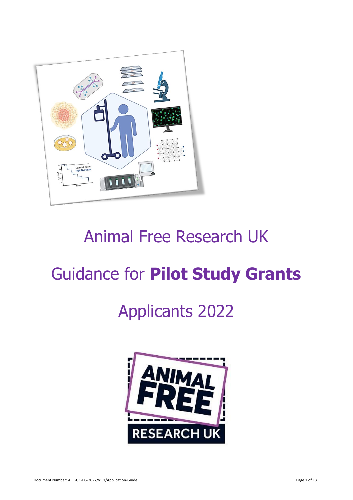

# Animal Free Research UK

# Guidance for **Pilot Study Grants**

# Applicants 2022

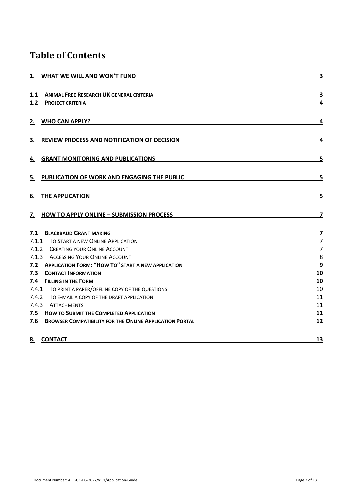# **Table of Contents**

| 1. WHAT WE WILL AND WON'T FUND                                                              | 3                            |
|---------------------------------------------------------------------------------------------|------------------------------|
| 1.1<br><b>ANIMAL FREE RESEARCH UK GENERAL CRITERIA</b><br>1.2<br><b>PROJECT CRITERIA</b>    | $\overline{\mathbf{3}}$<br>4 |
| 2.<br><b>WHO CAN APPLY?</b>                                                                 | 4                            |
| 3.<br>REVIEW PROCESS AND NOTIFICATION OF DECISION                                           | 4                            |
| <b>GRANT MONITORING AND PUBLICATIONS</b><br>4.                                              | 5                            |
| 5.<br>PUBLICATION OF WORK AND ENGAGING THE PUBLIC                                           | 5                            |
| 6.<br>THE APPLICATION                                                                       | 5                            |
| <b>HOW TO APPLY ONLINE - SUBMISSION PROCESS</b><br>7.                                       | $\overline{\mathbf{z}}$      |
| 7.1<br><b>BLACKBAUD GRANT MAKING</b>                                                        | $\overline{7}$               |
| 7.1.1 TO START A NEW ONLINE APPLICATION                                                     | $\overline{7}$               |
| 7.1.2 CREATING YOUR ONLINE ACCOUNT                                                          | $\overline{7}$               |
| 7.1.3 ACCESSING YOUR ONLINE ACCOUNT                                                         | 8                            |
| 7.2 APPLICATION FORM: "HOW TO" START A NEW APPLICATION<br>7.3<br><b>CONTACT INFORMATION</b> | 9<br>10                      |
| 7.4 FILLING IN THE FORM                                                                     | 10                           |
| 7.4.1 TO PRINT A PAPER/OFFLINE COPY OF THE QUESTIONS                                        | 10                           |
| 7.4.2 TO E-MAIL A COPY OF THE DRAFT APPLICATION                                             | 11                           |
| 7.4.3 ATTACHMENTS                                                                           | 11                           |
| 7.5 HOW TO SUBMIT THE COMPLETED APPLICATION                                                 | 11                           |
| 7.6<br><b>BROWSER COMPATIBILITY FOR THE ONLINE APPLICATION PORTAL</b>                       | 12                           |
| 8. CONTACT                                                                                  | 13                           |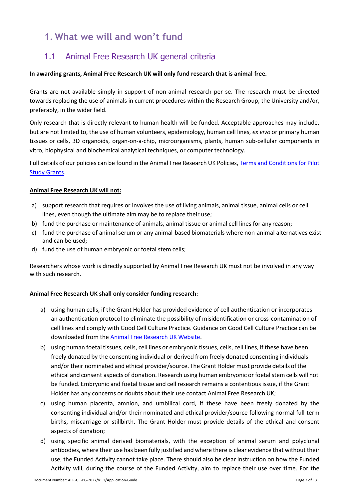# <span id="page-2-0"></span>**1. What we will and won't fund**

## <span id="page-2-1"></span>1.1 Animal Free Research UK general criteria

### **In awarding grants, Animal Free Research UK will only fund research that is animal free.**

Grants are not available simply in support of non-animal research per se. The research must be directed towards replacing the use of animals in current procedures within the Research Group, the University and/or, preferably, in the wider field.

Only research that is directly relevant to human health will be funded. Acceptable approaches may include, but are not limited to, the use of human volunteers, epidemiology, human cell lines, *ex vivo* or primary human tissues or cells, 3D organoids, organ-on-a-chip, microorganisms, plants, human sub-cellular components in vitro, biophysical and biochemical analytical techniques, or computer technology.

Full details of our policies can be found in the Animal Free Research UK Policies[, Terms and Conditions for Pilot](https://www.animalfreeresearchuk.org/wp-content/uploads/2022/03/AFR-UK-Terms-and-Conditions-Pilot-Study-Grants-2022-v1.1.pdf) [Study Grants.](https://www.animalfreeresearchuk.org/wp-content/uploads/2022/03/AFR-UK-Terms-and-Conditions-Pilot-Study-Grants-2022-v1.1.pdf)

### **Animal Free Research UK will not:**

- a) support research that requires or involves the use of living animals, animal tissue, animal cells or cell lines, even though the ultimate aim may be to replace their use;
- b) fund the purchase or maintenance of animals, animal tissue or animal cell lines for any reason;
- c) fund the purchase of animal serum or any animal-based biomaterials where non-animal alternatives exist and can be used;
- d) fund the use of human embryonic or foetal stem cells;

Researchers whose work is directly supported by Animal Free Research UK must not be involved in any way with such research.

### **Animal Free Research UK shall only consider funding research:**

- a) using human cells, if the Grant Holder has provided evidence of cell authentication or incorporates an authentication protocol to eliminate the possibility of misidentification or cross-contamination of cell lines and comply with Good Cell Culture Practice. Guidance on Good Cell Culture Practice can be downloaded from the [Animal Free Research UK](https://www.animalfreeresearchuk.org/wp-content/uploads/2018/09/GCCPtaskforcereport2.pdf) Website.
- b) using human foetal tissues, cells, cell lines or embryonic tissues, cells, cell lines, if these have been freely donated by the consenting individual or derived from freely donated consenting individuals and/or their nominated and ethical provider/source. The Grant Holder must provide details ofthe ethical and consent aspects of donation. Research using human embryonic or foetal stem cells will not be funded. Embryonic and foetal tissue and cell research remains a contentious issue, if the Grant Holder has any concerns or doubts about their use contact Animal Free Research UK;
- c) using human placenta, amnion, and umbilical cord, if these have been freely donated by the consenting individual and/or their nominated and ethical provider/source following normal full-term births, miscarriage or stillbirth. The Grant Holder must provide details of the ethical and consent aspects of donation;
- d) using specific animal derived biomaterials, with the exception of animal serum and polyclonal antibodies, where their use has been fully justified and where there is clear evidence that without their use, the Funded Activity cannot take place. There should also be clear instruction on how the Funded Activity will, during the course of the Funded Activity, aim to replace their use over time. For the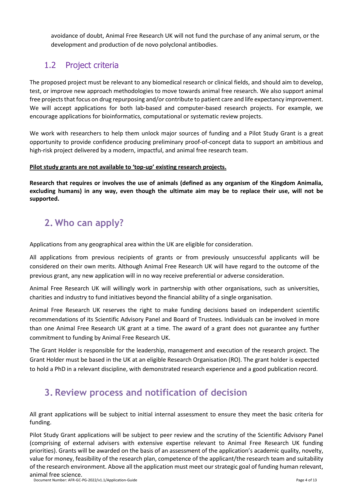avoidance of doubt, Animal Free Research UK will not fund the purchase of any animal serum, or the development and production of de novo polyclonal antibodies.

## <span id="page-3-0"></span>1.2 Project criteria

The proposed project must be relevant to any biomedical research or clinical fields, and should aim to develop, test, or improve new approach methodologies to move towards animal free research. We also support animal free projects that focus on drug repurposing and/or contribute to patient care and life expectancy improvement. We will accept applications for both lab-based and computer-based research projects. For example, we encourage applications for bioinformatics, computational or systematic review projects.

We work with researchers to help them unlock major sources of funding and a Pilot Study Grant is a great opportunity to provide confidence producing preliminary proof-of-concept data to support an ambitious and high-risk project delivered by a modern, impactful, and animal free research team.

### **Pilot study grants are not available to 'top-up' existing research projects.**

**Research that requires or involves the use of animals (defined as any organism of the Kingdom Animalia, excluding humans) in any way, even though the ultimate aim may be to replace their use, will not be supported.**

# <span id="page-3-1"></span>**2. Who can apply?**

Applications from any geographical area within the UK are eligible for consideration.

All applications from previous recipients of grants or from previously unsuccessful applicants will be considered on their own merits. Although Animal Free Research UK will have regard to the outcome of the previous grant, any new application will in no way receive preferential or adverse consideration.

Animal Free Research UK will willingly work in partnership with other organisations, such as universities, charities and industry to fund initiatives beyond the financial ability of a single organisation.

Animal Free Research UK reserves the right to make funding decisions based on independent scientific recommendations of its Scientific Advisory Panel and Board of Trustees. Individuals can be involved in more than one Animal Free Research UK grant at a time. The award of a grant does not guarantee any further commitment to funding by Animal Free Research UK.

The Grant Holder is responsible for the leadership, management and execution of the research project. The Grant Holder must be based in the UK at an eligible Research Organisation (RO). The grant holder is expected to hold a PhD in a relevant discipline, with demonstrated research experience and a good publication record.

# <span id="page-3-2"></span>**3. Review process and notification of decision**

All grant applications will be subject to initial internal assessment to ensure they meet the basic criteria for funding.

Pilot Study Grant applications will be subject to peer review and the scrutiny of the Scientific Advisory Panel (comprising of external advisers with extensive expertise relevant to Animal Free Research UK funding priorities). Grants will be awarded on the basis of an assessment of the application's academic quality, novelty, value for money, feasibility of the research plan, competence of the applicant/the research team and suitability of the research environment. Above all the application must meet our strategic goal of funding human relevant, animal free science.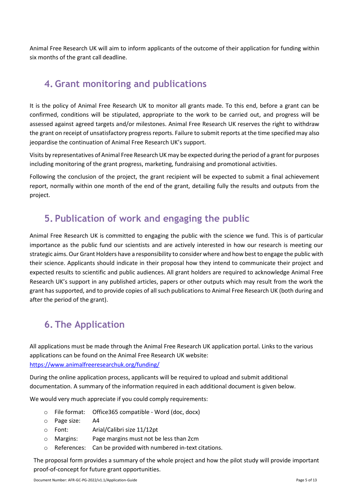Animal Free Research UK will aim to inform applicants of the outcome of their application for funding within six months of the grant call deadline.

# <span id="page-4-0"></span>**4. Grant monitoring and publications**

It is the policy of Animal Free Research UK to monitor all grants made. To this end, before a grant can be confirmed, conditions will be stipulated, appropriate to the work to be carried out, and progress will be assessed against agreed targets and/or milestones. Animal Free Research UK reserves the right to withdraw the grant on receipt of unsatisfactory progress reports. Failure to submit reports at the time specified may also jeopardise the continuation of Animal Free Research UK's support.

Visits by representatives of Animal Free Research UK may be expected during the period of a grant for purposes including monitoring of the grant progress, marketing, fundraising and promotional activities.

Following the conclusion of the project, the grant recipient will be expected to submit a final achievement report, normally within one month of the end of the grant, detailing fully the results and outputs from the project.

## <span id="page-4-1"></span>**5. Publication of work and engaging the public**

Animal Free Research UK is committed to engaging the public with the science we fund. This is of particular importance as the public fund our scientists and are actively interested in how our research is meeting our strategic aims.Our Grant Holders have a responsibility to consider where and how bestto engage the public with their science. Applicants should indicate in their proposal how they intend to communicate their project and expected results to scientific and public audiences. All grant holders are required to acknowledge Animal Free Research UK's support in any published articles, papers or other outputs which may result from the work the grant has supported, and to provide copies of all such publications to Animal Free Research UK (both during and after the period of the grant).

# <span id="page-4-2"></span>**6. The Application**

All applications must be made through the Animal Free Research UK application portal. Links to the various applications can be found on the Animal Free Research UK website: <https://www.animalfreeresearchuk.org/funding/>

During the online application process, applicants will be required to upload and submit additional documentation. A summary of the information required in each additional document is given below.

We would very much appreciate if you could comply requirements:

- o File format: Office365 compatible Word (doc, docx)
- o Page size: A4
- o Font: Arial/Calibri size 11/12pt
- o Margins: Page margins must not be less than 2cm
- o References: Can be provided with numbered in-text citations.

The proposal form provides a summary of the whole project and how the pilot study will provide important proof-of-concept for future grant opportunities.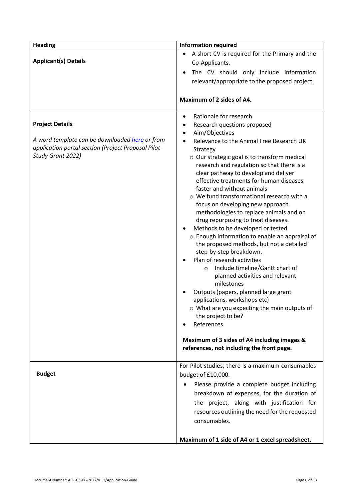| <b>Heading</b>                                                                                       | <b>Information required</b>                                                                |  |  |  |
|------------------------------------------------------------------------------------------------------|--------------------------------------------------------------------------------------------|--|--|--|
|                                                                                                      | A short CV is required for the Primary and the                                             |  |  |  |
| <b>Applicant(s) Details</b>                                                                          | Co-Applicants.                                                                             |  |  |  |
|                                                                                                      | The CV should only include information                                                     |  |  |  |
|                                                                                                      | relevant/appropriate to the proposed project.                                              |  |  |  |
|                                                                                                      |                                                                                            |  |  |  |
|                                                                                                      | Maximum of 2 sides of A4.                                                                  |  |  |  |
|                                                                                                      | Rationale for research<br>$\bullet$                                                        |  |  |  |
| <b>Project Details</b>                                                                               | Research questions proposed<br>٠                                                           |  |  |  |
|                                                                                                      | Aim/Objectives                                                                             |  |  |  |
| A word template can be downloaded here or from<br>application portal section (Project Proposal Pilot | Relevance to the Animal Free Research UK                                                   |  |  |  |
| Study Grant 2022)                                                                                    | Strategy                                                                                   |  |  |  |
|                                                                                                      | o Our strategic goal is to transform medical<br>research and regulation so that there is a |  |  |  |
|                                                                                                      | clear pathway to develop and deliver                                                       |  |  |  |
|                                                                                                      | effective treatments for human diseases                                                    |  |  |  |
|                                                                                                      | faster and without animals                                                                 |  |  |  |
|                                                                                                      | o We fund transformational research with a                                                 |  |  |  |
|                                                                                                      | focus on developing new approach                                                           |  |  |  |
|                                                                                                      | methodologies to replace animals and on                                                    |  |  |  |
|                                                                                                      | drug repurposing to treat diseases.                                                        |  |  |  |
|                                                                                                      | Methods to be developed or tested<br>o Enough information to enable an appraisal of        |  |  |  |
|                                                                                                      | the proposed methods, but not a detailed                                                   |  |  |  |
|                                                                                                      | step-by-step breakdown.                                                                    |  |  |  |
|                                                                                                      | Plan of research activities                                                                |  |  |  |
|                                                                                                      | Include timeline/Gantt chart of<br>$\circ$                                                 |  |  |  |
|                                                                                                      | planned activities and relevant                                                            |  |  |  |
|                                                                                                      | milestones                                                                                 |  |  |  |
|                                                                                                      | Outputs (papers, planned large grant                                                       |  |  |  |
|                                                                                                      | applications, workshops etc)<br>$\circ$ What are you expecting the main outputs of         |  |  |  |
|                                                                                                      | the project to be?                                                                         |  |  |  |
|                                                                                                      | References                                                                                 |  |  |  |
|                                                                                                      |                                                                                            |  |  |  |
|                                                                                                      | Maximum of 3 sides of A4 including images &                                                |  |  |  |
|                                                                                                      | references, not including the front page.                                                  |  |  |  |
|                                                                                                      | For Pilot studies, there is a maximum consumables                                          |  |  |  |
| <b>Budget</b>                                                                                        | budget of £10,000.                                                                         |  |  |  |
|                                                                                                      | Please provide a complete budget including                                                 |  |  |  |
|                                                                                                      | breakdown of expenses, for the duration of                                                 |  |  |  |
|                                                                                                      | the project, along with justification for                                                  |  |  |  |
|                                                                                                      | resources outlining the need for the requested                                             |  |  |  |
|                                                                                                      | consumables.                                                                               |  |  |  |
|                                                                                                      |                                                                                            |  |  |  |
|                                                                                                      | Maximum of 1 side of A4 or 1 excel spreadsheet.                                            |  |  |  |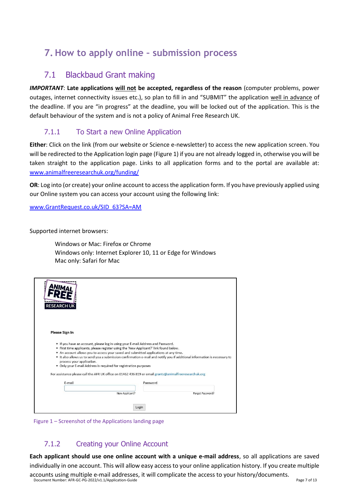# <span id="page-6-0"></span>**7. How to apply online – submission process**

## 7.1 Blackbaud Grant making

<span id="page-6-1"></span>*IMPORTANT*: **Late applications will not be accepted, regardless of the reason** (computer problems, power outages, internet connectivity issues etc.), so plan to fill in and "SUBMIT" the application well in advance of the deadline. If you are "in progress" at the deadline, you will be locked out of the application. This is the default behaviour of the system and is not a policy of Animal Free Research UK.

## 7.1.1 To Start a new Online Application

<span id="page-6-2"></span>**Either**: Click on the link (from our website or Science e-newsletter) to access the new application screen. You will be redirected to the Application login page (Figure 1) if you are not already logged in, otherwise you will be taken straight to the application page. Links to all application forms and to the portal are available at: [www.animalfreeresearchuk.org/funding/](https://www.animalfreeresearchuk.org/funding/)

**OR**: Log into (or create) your online account to access the application form. If you have previously applied using our Online system you can access your account using the following link:

[www.GrantRequest.co.uk/SID\\_63?SA=AM](http://www.grantrequest.co.uk/SID_63?SA=AM)

Supported internet browsers:

Windows or Mac: Firefox or Chrome Windows only: Internet Explorer 10, 11 or Edge for Windows Mac only: Safari for Mac

| <b>RESEARCH UF</b>                                                                                                                                                                                                                                                                                                                                                |                |                                                                                                                           |
|-------------------------------------------------------------------------------------------------------------------------------------------------------------------------------------------------------------------------------------------------------------------------------------------------------------------------------------------------------------------|----------------|---------------------------------------------------------------------------------------------------------------------------|
| Please Sign In                                                                                                                                                                                                                                                                                                                                                    |                |                                                                                                                           |
| . If you have an account, please log in using your E-mail Address and Password.<br>. First time applicants, please register using the 'New Applicant?' link found below.<br>. An account allows you to access your saved and submitted applications at any time.<br>process your application.<br>. Only your E-mail Address is required for registration purposes |                | . It also allows us to send you a submission confirmation e-mail and notify you if additional information is necessary to |
| For assistance please call the AFR UK office on 01462 436 819 or email grants@animalfreeresearchuk.org                                                                                                                                                                                                                                                            |                |                                                                                                                           |
| F-mail                                                                                                                                                                                                                                                                                                                                                            | Password       |                                                                                                                           |
|                                                                                                                                                                                                                                                                                                                                                                   | New Applicant? | Forgot Password?                                                                                                          |
|                                                                                                                                                                                                                                                                                                                                                                   | Login          |                                                                                                                           |



## 7.1.2 Creating your Online Account

<span id="page-6-3"></span>**Each applicant should use one online account with a unique e‐mail address**, so all applications are saved individually in one account. This will allow easy access to your online application history. If you create multiple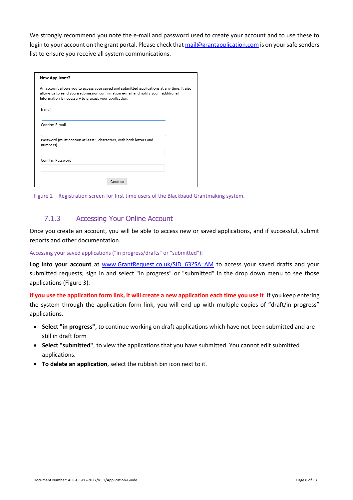We strongly recommend you note the e-mail and password used to create your account and to use these to login to your account on the grant portal. Please check tha[t mail@grantapplication.com](mailto:mail@grantapplication.com) is on your safe senders list to ensure you receive all system communications.

| <b>New Applicant?</b>                                                                                                                                                                                                                      |  |  |  |
|--------------------------------------------------------------------------------------------------------------------------------------------------------------------------------------------------------------------------------------------|--|--|--|
| An account allows you to access your saved and submitted applications at any time. It also<br>allows us to send you a submission confirmation e-mail and notify you if additional<br>information is necessary to process your application. |  |  |  |
| F-mail                                                                                                                                                                                                                                     |  |  |  |
| Confirm E-mail                                                                                                                                                                                                                             |  |  |  |
| Password (must contain at least 5 characters, with both letters and<br>numbers)                                                                                                                                                            |  |  |  |
| Confirm Password                                                                                                                                                                                                                           |  |  |  |
| Continue                                                                                                                                                                                                                                   |  |  |  |



## 7.1.3 Accessing Your Online Account

<span id="page-7-0"></span>Once you create an account, you will be able to access new or saved applications, and if successful, submit reports and other documentation.

Accessing your saved applications ("in progress/drafts" or "submitted"):

Log into your account at www.GrantRequest.co.uk/SID 63?SA=AM to access your saved drafts and your submitted requests; sign in and select "in progress" or "submitted" in the drop down menu to see those applications (Figure 3).

**If you use the application form link, it will create a new application each time you use it**. If you keep entering the system through the application form link, you will end up with multiple copies of "draft/in progress" applications.

- **Select "in progress"**, to continue working on draft applications which have not been submitted and are still in draft form
- **Select "submitted"**, to view the applications that you have submitted. You cannot edit submitted applications.
- **To delete an application**, select the rubbish bin icon next to it.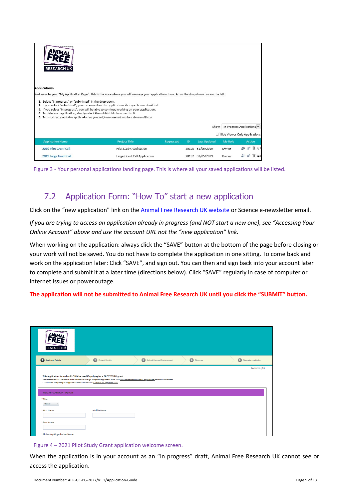| <b>RESEARCH UK</b><br><b>Applications</b>                                                                                                                                                                                                                                                                                                                                                                                                                                                                                                                               |                                |                  |       |                     |                |                               |
|-------------------------------------------------------------------------------------------------------------------------------------------------------------------------------------------------------------------------------------------------------------------------------------------------------------------------------------------------------------------------------------------------------------------------------------------------------------------------------------------------------------------------------------------------------------------------|--------------------------------|------------------|-------|---------------------|----------------|-------------------------------|
| Welcome to your "My Application Page". This is the area where you will manage your applications to us. From the drop down box on the left:<br>1. Select "in progress" or "submitted" in the drop down.<br>2. If you select "submitted", you can only view the applications that you have submitted.<br>3. If you select "in progress", you will be able to continue working on your application.<br>4. To delete an application, simply select the rubbish bin icon next to it.<br>5. To email a copy of the application to yourself/someone else select the email icon |                                |                  |       |                     |                |                               |
|                                                                                                                                                                                                                                                                                                                                                                                                                                                                                                                                                                         |                                |                  |       | Show                |                | In Progress Applications      |
|                                                                                                                                                                                                                                                                                                                                                                                                                                                                                                                                                                         |                                |                  |       |                     |                | Hide Viewer Only Applications |
| <b>Application Name</b>                                                                                                                                                                                                                                                                                                                                                                                                                                                                                                                                                 | <b>Project Title</b>           | <b>Requested</b> | ID.   | <b>Last Updated</b> | <b>My Role</b> | Action                        |
| 2019 Pilot Grant Call                                                                                                                                                                                                                                                                                                                                                                                                                                                                                                                                                   | <b>Pilot Study Application</b> |                  | 20193 | 31/05/2019          | Owner          |                               |
| 2019 Large Grant Call                                                                                                                                                                                                                                                                                                                                                                                                                                                                                                                                                   | Large Grant Call Application   |                  | 20192 | 31/05/2019          | Owner          |                               |



## 7.2 Application Form: "How To" start a new application

<span id="page-8-0"></span>Click on the "new application" link on the [Animal Free Research UK website](https://www.animalfreeresearchuk.org/funding/) or Science e-newsletter email.

*If you are trying to access an application already in progress (and NOT start a new one), see "Accessing Your Online Account" above and use the account URL not the "new application" link.*

When working on the application: always click the "SAVE" button at the bottom of the page before closing or your work will not be saved. You do not have to complete the application in one sitting. To come back and work on the application later: Click "SAVE", and sign out. You can then and sign back into your account later to complete and submit it at a later time (directions below). Click "SAVE" regularly in case of computer or internet issues or poweroutage.

#### **The application will not be submitted to Animal Free Research UK until you click the "SUBMIT" button.**

| <b>RESEARCH UK</b>                                                                                                                                                                                     |                    |                                                                                                                                                       |            |                        |
|--------------------------------------------------------------------------------------------------------------------------------------------------------------------------------------------------------|--------------------|-------------------------------------------------------------------------------------------------------------------------------------------------------|------------|------------------------|
| Applicant Details                                                                                                                                                                                      | Project Details    | (3) Animal Use and Replacement                                                                                                                        | 4 Finances | 5 Diversity monitoring |
| This Application form should ONLY be used if applying for a PILOT STUDY grant.<br>Guidance on completing this application can be found here: Guidance for Applicants 2021<br>PRIMARY APPLICANT DETAILS |                    | Applications for our Summer Student scheme are through a separate application form. Visit www.animalfreeresearchuk.org/funding/ for more information. |            | Contact Us   Exit      |
| * Title<br><none><br/><math>\ddot{}</math></none>                                                                                                                                                      |                    |                                                                                                                                                       |            |                        |
| * First Name                                                                                                                                                                                           | <b>Middle Name</b> |                                                                                                                                                       |            |                        |
| * Last Name                                                                                                                                                                                            |                    |                                                                                                                                                       |            |                        |
| * University/Organisation Name                                                                                                                                                                         |                    |                                                                                                                                                       |            |                        |

#### Figure 4 – 2021 Pilot Study Grant application welcome screen.

When the application is in your account as an "in progress" draft, Animal Free Research UK cannot see or access the application.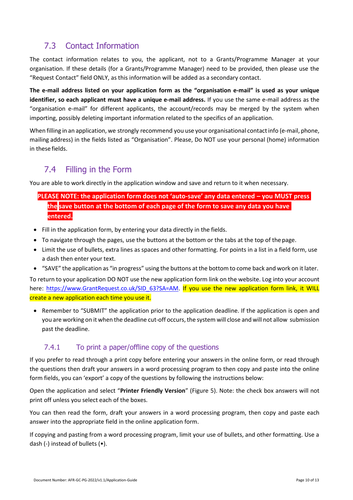## 7.3 Contact Information

<span id="page-9-0"></span>The contact information relates to you, the applicant, not to a Grants/Programme Manager at your organisation. If these details (for a Grants/Programme Manager) need to be provided, then please use the "Request Contact" field ONLY, as this information will be added as a secondary contact.

**The e‐mail address listed on your application form as the "organisation e‐mail" is used as your unique identifier, so each applicant must have a unique e‐mail address.** If you use the same e-mail address as the "organisation e-mail" for different applicants, the account/records may be merged by the system when importing, possibly deleting important information related to the specifics of an application.

When filling in an application, we strongly recommend you use your organisational contactinfo (e-mail, phone, mailing address) in the fields listed as "Organisation". Please, Do NOT use your personal (home) information in these fields.

## 7.4 Filling in the Form

<span id="page-9-1"></span>You are able to work directly in the application window and save and return to it when necessary.

## **PLEASE NOTE: the application form does not 'auto‐save' any data entered – you MUST press the save button at the bottom of each page of the form to save any data you have entered.**

- Fill in the application form, by entering your data directly in the fields.
- To navigate through the pages, use the buttons at the bottom or the tabs at the top of the page.
- Limit the use of bullets, extra lines as spaces and other formatting. For points in a list in a field form, use a dash then enter your text.
- "SAVE" the application as "in progress" using the buttons at the bottom to come back and work on it later.

To return to your application DO NOT use the new application form link on the website. Log into your account here: https:/[/www.GrantRequest.co.uk/SID\\_63?SA=AM.](http://www.grantrequest.co.uk/SID_63?SA=AM) If you use the new application form link, it WILL create a new application each time you use it.

• Remember to "SUBMIT" the application prior to the application deadline. If the application is open and you are working on it when the deadline cut-off occurs, the system will close and will not allow submission past the deadline.

## 7.4.1 To print a paper/offline copy of the questions

<span id="page-9-2"></span>If you prefer to read through a print copy before entering your answers in the online form, or read through the questions then draft your answers in a word processing program to then copy and paste into the online form fields, you can 'export' a copy of the questions by following the instructions below:

Open the application and select "**Printer Friendly Version**" (Figure 5). Note: the check box answers will not print off unless you select each of the boxes.

You can then read the form, draft your answers in a word processing program, then copy and paste each answer into the appropriate field in the online application form.

If copying and pasting from a word processing program, limit your use of bullets, and other formatting. Use a dash (-) instead of bullets (•).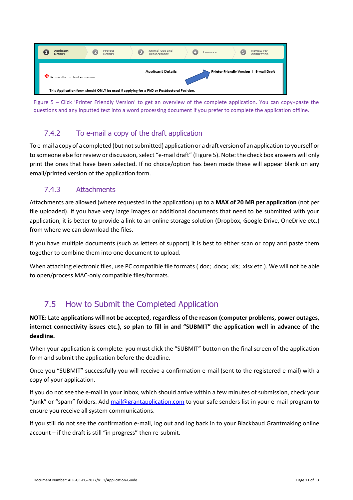

Figure 5 – Click 'Printer Friendly Version' to get an overview of the complete application. You can copy+paste the questions and any inputted text into a word processing document if you prefer to complete the application offline.

## 7.4.2 To e-mail a copy of the draft application

<span id="page-10-0"></span>To e-mail a copy of a completed (but not submitted) application or a draft version of an application to yourself or to someone else for review or discussion, select "e-mail draft" (Figure 5). Note: the check box answers will only print the ones that have been selected. If no choice/option has been made these will appear blank on any email/printed version of the application form.

## 7.4.3 Attachments

<span id="page-10-1"></span>Attachments are allowed (where requested in the application) up to a **MAX of 20 MB per application** (not per file uploaded). If you have very large images or additional documents that need to be submitted with your application, it is better to provide a link to an online storage solution (Dropbox, Google Drive, OneDrive etc.) from where we can download the files.

If you have multiple documents (such as letters of support) it is best to either scan or copy and paste them together to combine them into one document to upload.

When attaching electronic files, use PC compatible file formats (.doc; .docx; .xls; .xlsx etc.). We will not be able to open/process MAC-only compatible files/formats.

## 7.5 How to Submit the Completed Application

<span id="page-10-2"></span>**NOTE: Late applications will not be accepted, regardless of the reason (computer problems, power outages, internet connectivity issues etc.), so plan to fill in and "SUBMIT" the application well in advance of the deadline.**

When your application is complete: you must click the "SUBMIT" button on the final screen of the application form and submit the application before the deadline.

Once you "SUBMIT" successfully you will receive a confirmation e-mail (sent to the registered e-mail) with a copy of your application.

If you do not see the e-mail in your inbox, which should arrive within a few minutes of submission, check your "junk" or "spam" folders. Add [mail@grantapplication.com](mailto:mail@grantapplication.com) to your safe senders list in your e-mail program to ensure you receive all system communications.

If you still do not see the confirmation e-mail, log out and log back in to your Blackbaud Grantmaking online account – if the draft is still "in progress" then re-submit.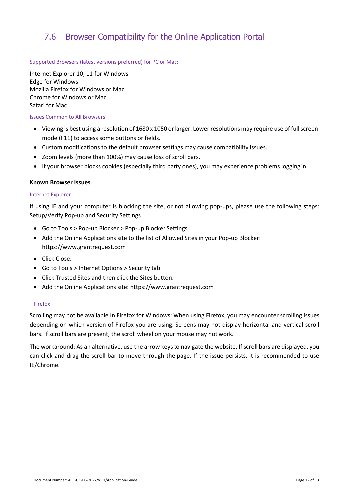## <span id="page-11-0"></span>7.6 Browser Compatibility for the Online Application Portal

#### Supported Browsers (latest versions preferred) for PC or Mac:

Internet Explorer 10, 11 for Windows Edge for Windows Mozilla Firefox for Windows or Mac Chrome for Windows or Mac Safari for Mac

#### Issues Common to All Browsers

- Viewing is best using a resolution of 1680 x 1050 or larger. Lower resolutions may require use of full screen mode (F11) to access some buttons or fields.
- Custom modifications to the default browser settings may cause compatibility issues.
- Zoom levels (more than 100%) may cause loss of scroll bars.
- If your browser blocks cookies (especially third party ones), you may experience problems loggingin.

#### **Known Browser Issues**

#### Internet Explorer

If using IE and your computer is blocking the site, or not allowing pop-ups, please use the following steps: Setup/Verify Pop-up and Security Settings

- Go to Tools > Pop-up Blocker > Pop-up Blocker Settings.
- Add the Online Applications site to the list of Allowed Sites in your Pop-up Blocker: https:/[/www.grantrequest.com](http://www.grantrequest.com/)
- Click Close.
- Go to Tools > Internet Options > Security tab.
- Click Trusted Sites and then click the Sites button.
- Add the Online Applications site: https:/[/www.grantrequest.com](http://www.grantrequest.com/)

#### Firefox

Scrolling may not be available In Firefox for Windows: When using Firefox, you may encounter scrolling issues depending on which version of Firefox you are using. Screens may not display horizontal and vertical scroll bars. If scroll bars are present, the scroll wheel on your mouse may not work.

The workaround: As an alternative, use the arrow keys to navigate the website. If scroll bars are displayed, you can click and drag the scroll bar to move through the page. If the issue persists, it is recommended to use IE/Chrome.